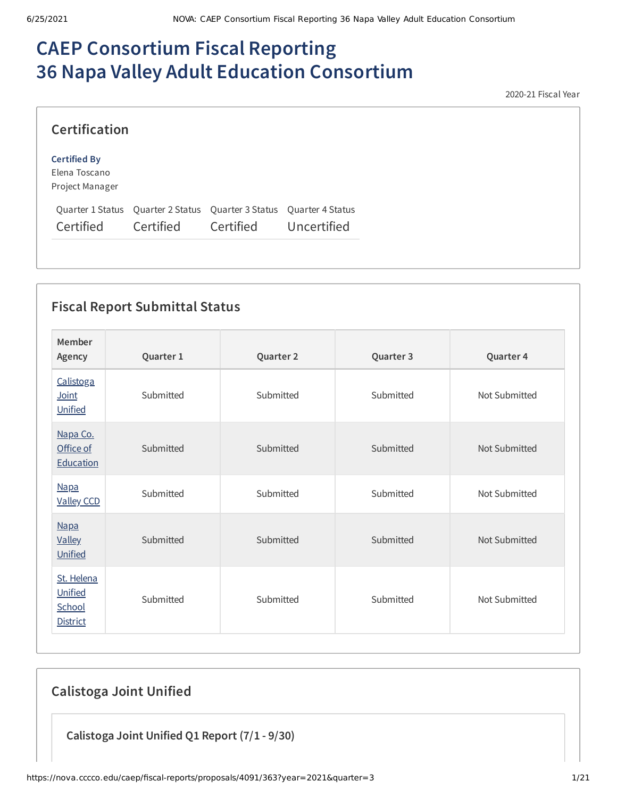# **CAEP Consortium Fiscal Reporting 36 Napa Valley Adult Education Consortium**

2020-21 Fiscal Year

| <b>Certification</b>                                    |                                                                                  |           |             |
|---------------------------------------------------------|----------------------------------------------------------------------------------|-----------|-------------|
| <b>Certified By</b><br>Elena Toscano<br>Project Manager |                                                                                  |           |             |
| Certified                                               | Quarter 1 Status Quarter 2 Status Quarter 3 Status Quarter 4 Status<br>Certified | Certified | Uncertified |

## **Fiscal Report Submittal Status**

| Member<br>Agency                                   | Quarter 1 | Quarter 2 | Quarter 3 | Quarter 4     |
|----------------------------------------------------|-----------|-----------|-----------|---------------|
| Calistoga<br>Joint<br>Unified                      | Submitted | Submitted | Submitted | Not Submitted |
| Napa Co.<br>Office of<br>Education                 | Submitted | Submitted | Submitted | Not Submitted |
| <b>Napa</b><br><b>Valley CCD</b>                   | Submitted | Submitted | Submitted | Not Submitted |
| <b>Napa</b><br><b>Valley</b><br>Unified            | Submitted | Submitted | Submitted | Not Submitted |
| St. Helena<br>Unified<br>School<br><b>District</b> | Submitted | Submitted | Submitted | Not Submitted |

# **Calistoga Joint Unified**

**Calistoga Joint Unified Q1 Report (7/1 - 9/30)**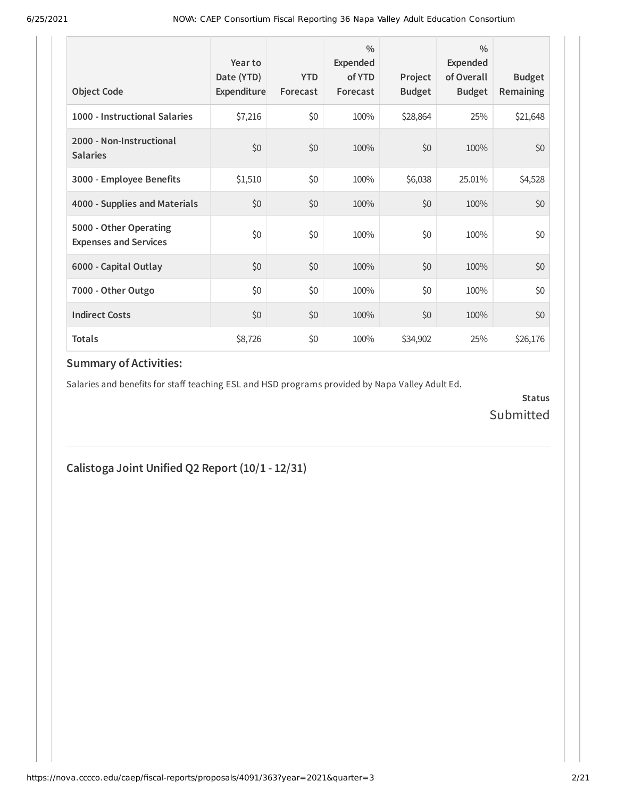| <b>Object Code</b>                                     | Year to<br>Date (YTD)<br>Expenditure | <b>YTD</b><br>Forecast | $\frac{0}{0}$<br>Expended<br>of YTD<br>Forecast | Project<br><b>Budget</b> | $\frac{0}{0}$<br>Expended<br>of Overall<br><b>Budget</b> | <b>Budget</b><br><b>Remaining</b> |
|--------------------------------------------------------|--------------------------------------|------------------------|-------------------------------------------------|--------------------------|----------------------------------------------------------|-----------------------------------|
| 1000 - Instructional Salaries                          | \$7,216                              | \$0                    | 100%                                            | \$28,864                 | 25%                                                      | \$21,648                          |
| 2000 - Non-Instructional<br><b>Salaries</b>            | \$0                                  | \$0                    | 100%                                            | \$0                      | 100%                                                     | \$0                               |
| 3000 - Employee Benefits                               | \$1,510                              | \$0                    | 100%                                            | \$6,038                  | 25.01%                                                   | \$4,528                           |
| 4000 - Supplies and Materials                          | \$0                                  | \$0                    | 100%                                            | \$0                      | 100%                                                     | \$0                               |
| 5000 - Other Operating<br><b>Expenses and Services</b> | \$0                                  | \$0                    | 100%                                            | \$0                      | 100%                                                     | \$0                               |
| 6000 - Capital Outlay                                  | \$0                                  | \$0                    | 100%                                            | \$0                      | 100%                                                     | \$0                               |
| 7000 - Other Outgo                                     | \$0                                  | \$0                    | 100%                                            | \$0                      | 100%                                                     | \$0                               |
| <b>Indirect Costs</b>                                  | \$0                                  | \$0                    | 100%                                            | \$0                      | 100%                                                     | \$0                               |
| <b>Totals</b>                                          | \$8,726                              | \$0                    | 100%                                            | \$34,902                 | 25%                                                      | \$26,176                          |

Salaries and benefits for staff teaching ESL and HSD programs provided by Napa Valley Adult Ed.

**Status** Submitted

# **Calistoga Joint Unified Q2 Report (10/1 - 12/31)**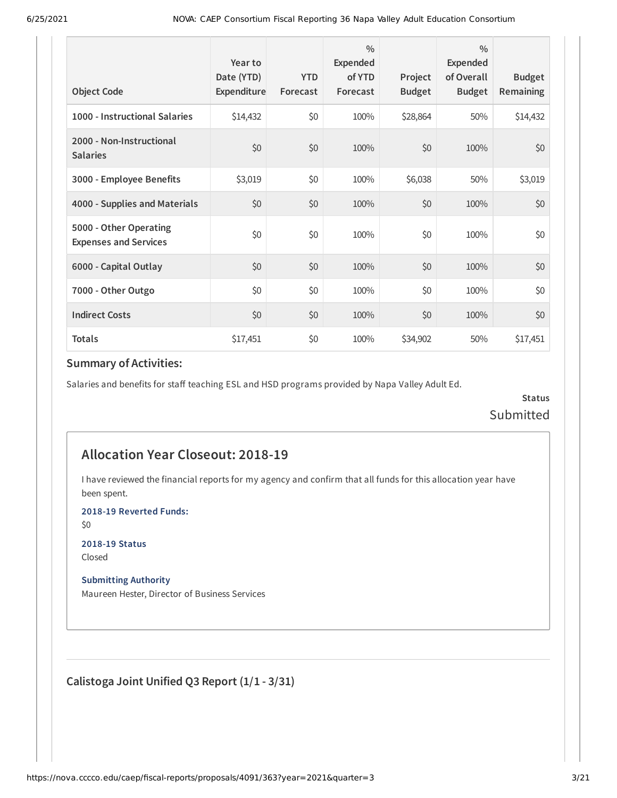| <b>Object Code</b>                                     | Year to<br>Date (YTD)<br>Expenditure | <b>YTD</b><br>Forecast | $\frac{0}{0}$<br>Expended<br>of YTD<br>Forecast | Project<br><b>Budget</b> | $\frac{0}{0}$<br>Expended<br>of Overall<br><b>Budget</b> | <b>Budget</b><br><b>Remaining</b> |
|--------------------------------------------------------|--------------------------------------|------------------------|-------------------------------------------------|--------------------------|----------------------------------------------------------|-----------------------------------|
| 1000 - Instructional Salaries                          | \$14,432                             | \$0                    | 100%                                            | \$28,864                 | 50%                                                      | \$14,432                          |
| 2000 - Non-Instructional<br><b>Salaries</b>            | \$0                                  | \$0                    | 100%                                            | \$0                      | 100%                                                     | \$0                               |
| 3000 - Employee Benefits                               | \$3,019                              | \$0                    | 100%                                            | \$6,038                  | 50%                                                      | \$3,019                           |
| 4000 - Supplies and Materials                          | \$0                                  | \$0                    | 100%                                            | \$0                      | 100%                                                     | \$0                               |
| 5000 - Other Operating<br><b>Expenses and Services</b> | \$0                                  | \$0                    | 100%                                            | \$0                      | 100%                                                     | \$0                               |
| 6000 - Capital Outlay                                  | \$0                                  | \$0                    | 100%                                            | \$0                      | 100%                                                     | \$0                               |
| 7000 - Other Outgo                                     | \$0                                  | \$0                    | 100%                                            | \$0                      | 100%                                                     | \$0                               |
| <b>Indirect Costs</b>                                  | \$0                                  | \$0                    | 100%                                            | \$0                      | 100%                                                     | \$0                               |
| <b>Totals</b>                                          | \$17,451                             | \$0                    | 100%                                            | \$34,902                 | 50%                                                      | \$17,451                          |

Salaries and benefits for staff teaching ESL and HSD programs provided by Napa Valley Adult Ed.

**Status** Submitted

## **Allocation Year Closeout: 2018-19**

I have reviewed the financial reports for my agency and confirm that all funds for this allocation year have been spent.

**2018-19 Reverted Funds:**

\$0

**2018-19 Status** Closed

#### **Submitting Authority**

Maureen Hester, Director of Business Services

**Calistoga Joint Unified Q3 Report (1/1 - 3/31)**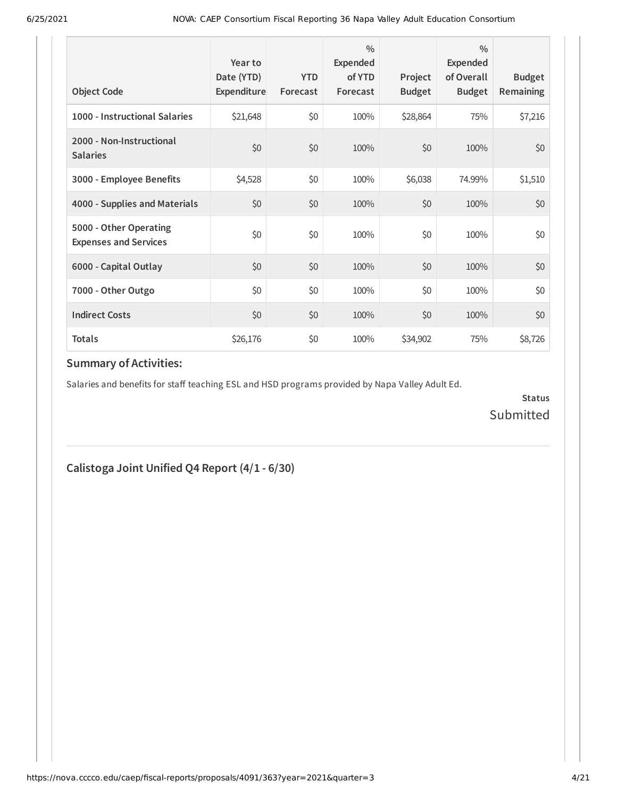| <b>Object Code</b>                                     | Year to<br>Date (YTD)<br>Expenditure | <b>YTD</b><br>Forecast | $\frac{0}{0}$<br>Expended<br>of YTD<br>Forecast | Project<br><b>Budget</b> | $\frac{0}{0}$<br>Expended<br>of Overall<br><b>Budget</b> | <b>Budget</b><br><b>Remaining</b> |
|--------------------------------------------------------|--------------------------------------|------------------------|-------------------------------------------------|--------------------------|----------------------------------------------------------|-----------------------------------|
| 1000 - Instructional Salaries                          | \$21,648                             | \$0                    | 100%                                            | \$28,864                 | 75%                                                      | \$7,216                           |
| 2000 - Non-Instructional<br><b>Salaries</b>            | \$0                                  | \$0                    | 100%                                            | \$0                      | 100%                                                     | \$0                               |
| 3000 - Employee Benefits                               | \$4,528                              | \$0                    | 100%                                            | \$6,038                  | 74.99%                                                   | \$1,510                           |
| 4000 - Supplies and Materials                          | \$0                                  | \$0                    | 100%                                            | \$0                      | 100%                                                     | \$0                               |
| 5000 - Other Operating<br><b>Expenses and Services</b> | \$0                                  | \$0                    | 100%                                            | \$0                      | 100%                                                     | \$0                               |
| 6000 - Capital Outlay                                  | \$0                                  | \$0                    | 100%                                            | \$0                      | 100%                                                     | \$0                               |
| 7000 - Other Outgo                                     | \$0                                  | \$0                    | 100%                                            | \$0                      | 100%                                                     | \$0                               |
| <b>Indirect Costs</b>                                  | \$0                                  | \$0                    | 100%                                            | \$0                      | 100%                                                     | \$0                               |
| <b>Totals</b>                                          | \$26,176                             | \$0                    | 100%                                            | \$34,902                 | 75%                                                      | \$8,726                           |

Salaries and benefits for staff teaching ESL and HSD programs provided by Napa Valley Adult Ed.

**Status** Submitted

## **Calistoga Joint Unified Q4 Report (4/1 - 6/30)**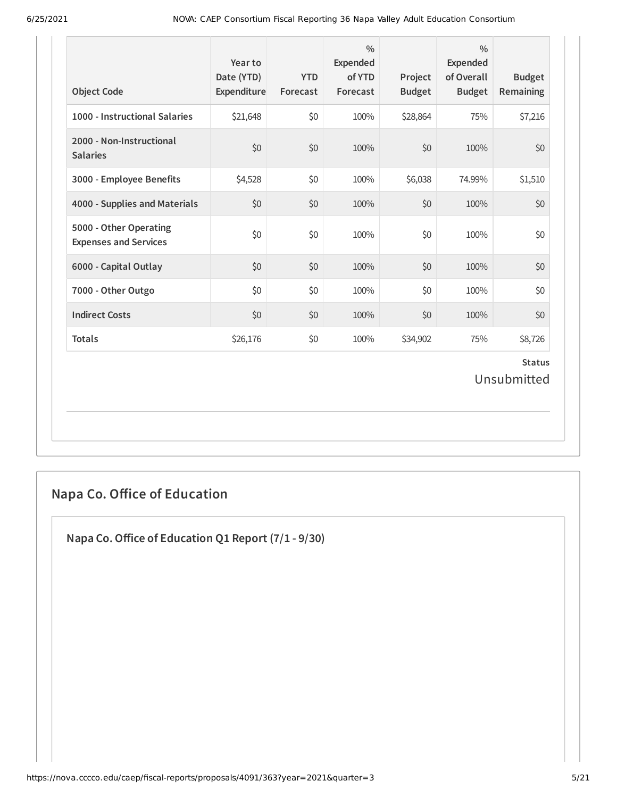| <b>Object Code</b>                                     | Year to<br>Date (YTD)<br>Expenditure | <b>YTD</b><br>Forecast | $\frac{0}{0}$<br>Expended<br>of YTD<br>Forecast | Project<br><b>Budget</b> | $\frac{0}{0}$<br><b>Expended</b><br>of Overall<br><b>Budget</b> | <b>Budget</b><br>Remaining   |
|--------------------------------------------------------|--------------------------------------|------------------------|-------------------------------------------------|--------------------------|-----------------------------------------------------------------|------------------------------|
| 1000 - Instructional Salaries                          | \$21,648                             | \$0                    | 100%                                            | \$28,864                 | 75%                                                             | \$7,216                      |
| 2000 - Non-Instructional<br><b>Salaries</b>            | \$0                                  | \$0                    | 100%                                            | \$0                      | 100%                                                            | \$0                          |
| 3000 - Employee Benefits                               | \$4,528                              | \$0                    | 100%                                            | \$6,038                  | 74.99%                                                          | \$1,510                      |
| 4000 - Supplies and Materials                          | \$0                                  | \$0                    | 100%                                            | \$0                      | 100%                                                            | \$0                          |
| 5000 - Other Operating<br><b>Expenses and Services</b> | \$0                                  | \$0                    | 100%                                            | \$0                      | 100%                                                            | \$0                          |
| 6000 - Capital Outlay                                  | \$0                                  | \$0                    | 100%                                            | \$0                      | 100%                                                            | \$0                          |
| 7000 - Other Outgo                                     | \$0                                  | \$0                    | 100%                                            | \$0                      | 100%                                                            | \$0                          |
| <b>Indirect Costs</b>                                  | \$0                                  | \$0                    | 100%                                            | \$0                      | 100%                                                            | \$0                          |
| <b>Totals</b>                                          | \$26,176                             | \$0                    | 100%                                            | \$34,902                 | 75%                                                             | \$8,726                      |
|                                                        |                                      |                        |                                                 |                          |                                                                 | <b>Status</b><br>Unsubmitted |

# **Napa Co. Office of Education**

**Napa Co.Office of Education Q1 Report (7/1 - 9/30)**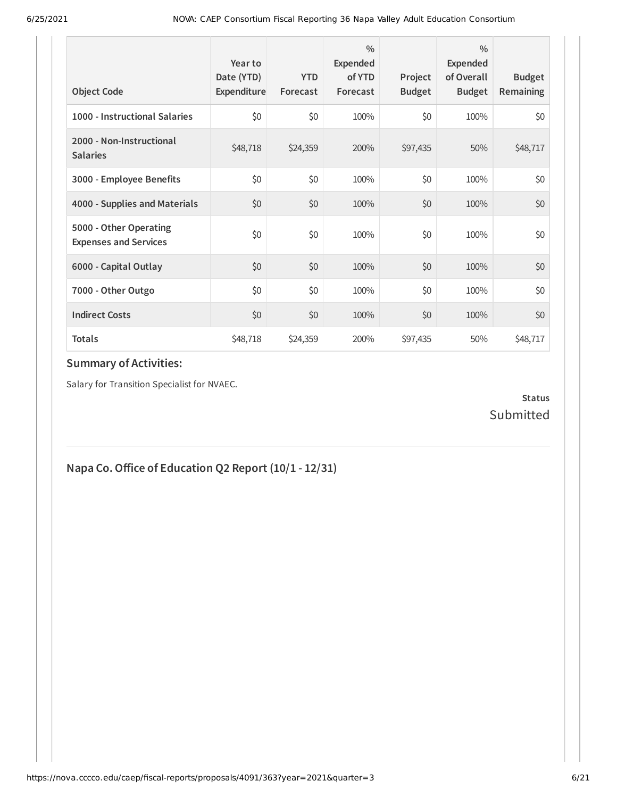| <b>Object Code</b>                                     | Year to<br>Date (YTD)<br>Expenditure | <b>YTD</b><br>Forecast | $\frac{0}{0}$<br>Expended<br>of YTD<br>Forecast | Project<br><b>Budget</b> | $\frac{0}{0}$<br>Expended<br>of Overall<br><b>Budget</b> | <b>Budget</b><br><b>Remaining</b> |
|--------------------------------------------------------|--------------------------------------|------------------------|-------------------------------------------------|--------------------------|----------------------------------------------------------|-----------------------------------|
| 1000 - Instructional Salaries                          | \$0                                  | \$0                    | 100%                                            | \$0                      | 100%                                                     | \$0                               |
| 2000 - Non-Instructional<br><b>Salaries</b>            | \$48,718                             | \$24,359               | 200%                                            | \$97,435                 | 50%                                                      | \$48,717                          |
| 3000 - Employee Benefits                               | \$0                                  | \$0                    | 100%                                            | \$0                      | 100%                                                     | \$0                               |
| 4000 - Supplies and Materials                          | \$0                                  | \$0                    | 100%                                            | \$0                      | 100%                                                     | \$0                               |
| 5000 - Other Operating<br><b>Expenses and Services</b> | \$0                                  | \$0                    | 100%                                            | \$0                      | 100%                                                     | \$0                               |
| 6000 - Capital Outlay                                  | \$0                                  | \$0                    | 100%                                            | \$0                      | 100%                                                     | \$0                               |
| 7000 - Other Outgo                                     | \$0                                  | \$0                    | 100%                                            | \$0                      | 100%                                                     | \$0                               |
| <b>Indirect Costs</b>                                  | \$0                                  | \$0                    | 100%                                            | \$0                      | 100%                                                     | \$0                               |
| <b>Totals</b>                                          | \$48,718                             | \$24,359               | 200%                                            | \$97,435                 | 50%                                                      | \$48,717                          |

Salary for Transition Specialist for NVAEC.

#### **Status** Submitted

# **Napa Co.Office of Education Q2 Report (10/1 - 12/31)**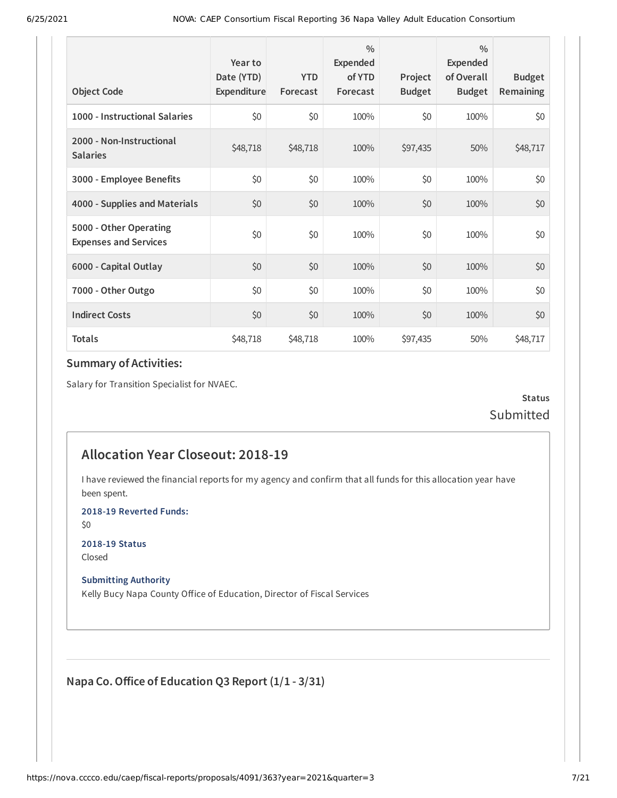| <b>Object Code</b>                                     | Year to<br>Date (YTD)<br>Expenditure | <b>YTD</b><br>Forecast | $\frac{0}{0}$<br>Expended<br>of YTD<br>Forecast | Project<br><b>Budget</b> | $\frac{0}{0}$<br>Expended<br>of Overall<br><b>Budget</b> | <b>Budget</b><br><b>Remaining</b> |
|--------------------------------------------------------|--------------------------------------|------------------------|-------------------------------------------------|--------------------------|----------------------------------------------------------|-----------------------------------|
| 1000 - Instructional Salaries                          | \$0                                  | \$0                    | 100%                                            | \$0                      | 100%                                                     | \$0                               |
| 2000 - Non-Instructional<br><b>Salaries</b>            | \$48,718                             | \$48,718               | 100%                                            | \$97,435                 | 50%                                                      | \$48,717                          |
| 3000 - Employee Benefits                               | \$0                                  | \$0                    | 100%                                            | \$0                      | 100%                                                     | \$0                               |
| 4000 - Supplies and Materials                          | \$0                                  | \$0                    | 100%                                            | \$0                      | 100%                                                     | \$0                               |
| 5000 - Other Operating<br><b>Expenses and Services</b> | \$0                                  | \$0                    | 100%                                            | \$0                      | 100%                                                     | \$0                               |
| 6000 - Capital Outlay                                  | \$0                                  | \$0                    | 100%                                            | \$0                      | 100%                                                     | \$0                               |
| 7000 - Other Outgo                                     | \$0                                  | \$0                    | 100%                                            | \$0                      | 100%                                                     | \$0                               |
| <b>Indirect Costs</b>                                  | \$0                                  | \$0                    | 100%                                            | \$0                      | 100%                                                     | \$0                               |
| <b>Totals</b>                                          | \$48,718                             | \$48,718               | 100%                                            | \$97,435                 | 50%                                                      | \$48,717                          |

Salary for Transition Specialist for NVAEC.

**Status** Submitted

## **Allocation Year Closeout: 2018-19**

I have reviewed the financial reports for my agency and confirm that all funds for this allocation year have been spent.

**2018-19 Reverted Funds:**

\$0

**2018-19 Status** Closed

**Submitting Authority**

Kelly Bucy Napa County Office of Education, Director of Fiscal Services

**Napa Co.Office of Education Q3 Report (1/1 - 3/31)**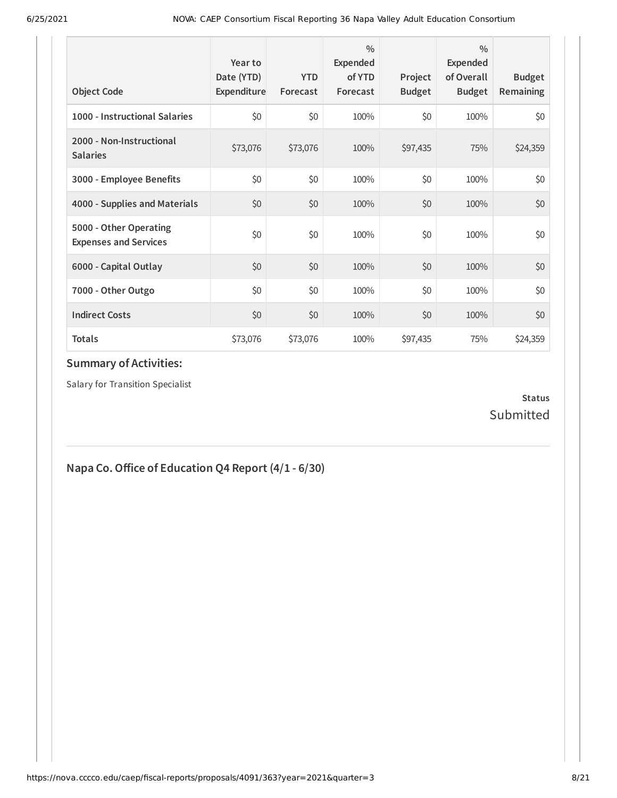| <b>Object Code</b>                                     | Year to<br>Date (YTD)<br>Expenditure | <b>YTD</b><br>Forecast | 0/0<br><b>Expended</b><br>of YTD<br>Forecast | Project<br><b>Budget</b> | $\frac{0}{0}$<br>Expended<br>of Overall<br><b>Budget</b> | <b>Budget</b><br><b>Remaining</b> |
|--------------------------------------------------------|--------------------------------------|------------------------|----------------------------------------------|--------------------------|----------------------------------------------------------|-----------------------------------|
| 1000 - Instructional Salaries                          | \$0                                  | \$0                    | 100%                                         | \$0                      | 100%                                                     | \$0                               |
| 2000 - Non-Instructional<br><b>Salaries</b>            | \$73,076                             | \$73,076               | 100%                                         | \$97,435                 | 75%                                                      | \$24,359                          |
| 3000 - Employee Benefits                               | \$0                                  | \$0                    | 100%                                         | \$0                      | 100%                                                     | \$0                               |
| 4000 - Supplies and Materials                          | \$0                                  | \$0                    | 100%                                         | \$0                      | 100%                                                     | \$0                               |
| 5000 - Other Operating<br><b>Expenses and Services</b> | \$0                                  | \$0                    | 100%                                         | \$0                      | 100%                                                     | \$0                               |
| 6000 - Capital Outlay                                  | \$0                                  | \$0                    | 100%                                         | \$0                      | 100%                                                     | \$0                               |
| 7000 - Other Outgo                                     | \$0                                  | \$0                    | 100%                                         | \$0                      | 100%                                                     | \$0                               |
| <b>Indirect Costs</b>                                  | \$0                                  | \$0                    | 100%                                         | \$0                      | 100%                                                     | \$0                               |
| <b>Totals</b>                                          | \$73,076                             | \$73,076               | 100%                                         | \$97,435                 | 75%                                                      | \$24,359                          |

Salary for Transition Specialist

#### **Status** Submitted

# **Napa Co.Office of Education Q4 Report (4/1 - 6/30)**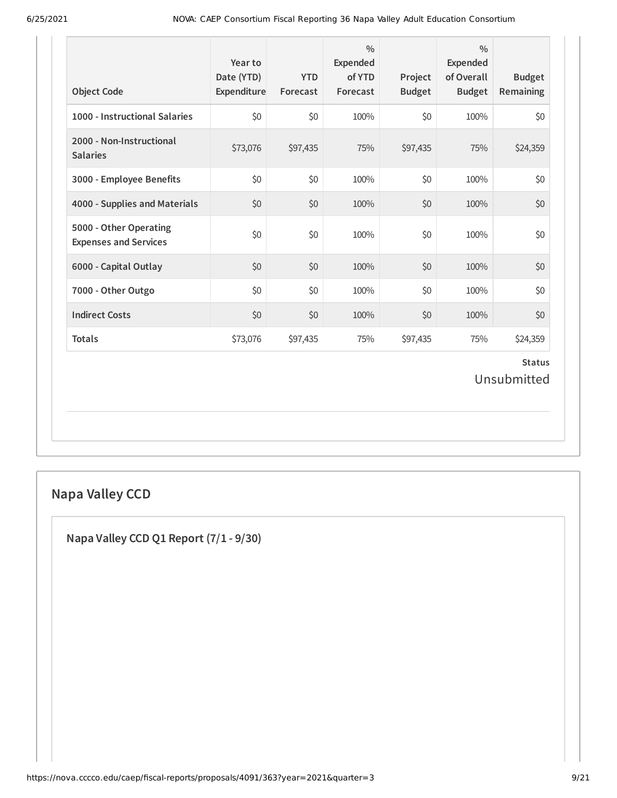| <b>Object Code</b>                                     | Year to<br>Date (YTD)<br>Expenditure | <b>YTD</b><br>Forecast | $\frac{0}{0}$<br>Expended<br>of YTD<br>Forecast | Project<br><b>Budget</b> | $\frac{0}{0}$<br><b>Expended</b><br>of Overall<br><b>Budget</b> | <b>Budget</b><br>Remaining   |
|--------------------------------------------------------|--------------------------------------|------------------------|-------------------------------------------------|--------------------------|-----------------------------------------------------------------|------------------------------|
| 1000 - Instructional Salaries                          | \$0                                  | \$0                    | 100%                                            | \$0                      | 100%                                                            | \$0                          |
| 2000 - Non-Instructional<br><b>Salaries</b>            | \$73,076                             | \$97,435               | 75%                                             | \$97,435                 | 75%                                                             | \$24,359                     |
| 3000 - Employee Benefits                               | \$0                                  | \$0                    | 100%                                            | \$0                      | 100%                                                            | \$0                          |
| 4000 - Supplies and Materials                          | \$0                                  | \$0                    | 100%                                            | \$0                      | 100%                                                            | \$0                          |
| 5000 - Other Operating<br><b>Expenses and Services</b> | \$0                                  | \$0                    | 100%                                            | \$0                      | 100%                                                            | \$0                          |
| 6000 - Capital Outlay                                  | \$0                                  | \$0                    | 100%                                            | \$0                      | 100%                                                            | \$0                          |
| 7000 - Other Outgo                                     | \$0                                  | \$0                    | 100%                                            | \$0                      | 100%                                                            | \$0                          |
| <b>Indirect Costs</b>                                  | \$0                                  | \$0                    | 100%                                            | \$0                      | 100%                                                            | \$0                          |
| <b>Totals</b>                                          | \$73,076                             | \$97,435               | 75%                                             | \$97,435                 | 75%                                                             | \$24,359                     |
|                                                        |                                      |                        |                                                 |                          |                                                                 | <b>Status</b><br>Unsubmitted |

# **Napa Valley CCD**

**Napa Valley CCD Q1 Report (7/1 - 9/30)**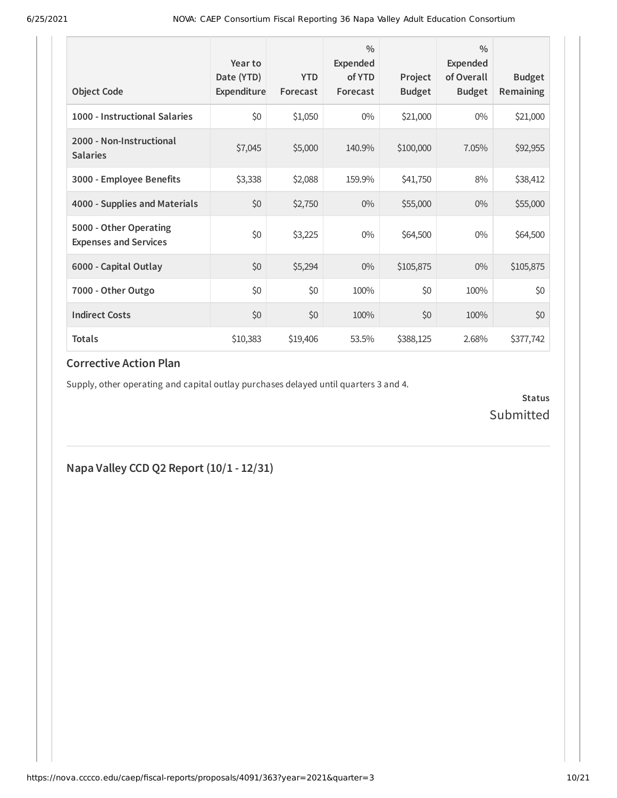| <b>Object Code</b>                                     | Year to<br>Date (YTD)<br>Expenditure | <b>YTD</b><br>Forecast | $\frac{0}{0}$<br>Expended<br>of YTD<br>Forecast | Project<br><b>Budget</b> | $\frac{0}{0}$<br>Expended<br>of Overall<br><b>Budget</b> | <b>Budget</b><br>Remaining |
|--------------------------------------------------------|--------------------------------------|------------------------|-------------------------------------------------|--------------------------|----------------------------------------------------------|----------------------------|
| 1000 - Instructional Salaries                          | \$0                                  | \$1,050                | $0\%$                                           | \$21,000                 | $0\%$                                                    | \$21,000                   |
| 2000 - Non-Instructional<br><b>Salaries</b>            | \$7,045                              | \$5,000                | 140.9%                                          | \$100,000                | 7.05%                                                    | \$92,955                   |
| 3000 - Employee Benefits                               | \$3,338                              | \$2,088                | 159.9%                                          | \$41,750                 | 8%                                                       | \$38,412                   |
| 4000 - Supplies and Materials                          | \$0                                  | \$2,750                | $0\%$                                           | \$55,000                 | $0\%$                                                    | \$55,000                   |
| 5000 - Other Operating<br><b>Expenses and Services</b> | \$0                                  | \$3,225                | $0\%$                                           | \$64,500                 | $0\%$                                                    | \$64,500                   |
| 6000 - Capital Outlay                                  | \$0                                  | \$5,294                | $0\%$                                           | \$105,875                | $0\%$                                                    | \$105,875                  |
| 7000 - Other Outgo                                     | \$0                                  | \$0                    | 100%                                            | \$0                      | 100%                                                     | \$0                        |
| <b>Indirect Costs</b>                                  | \$0                                  | \$0                    | 100%                                            | \$0                      | 100%                                                     | \$0                        |
| <b>Totals</b>                                          | \$10,383                             | \$19,406               | 53.5%                                           | \$388,125                | 2.68%                                                    | \$377,742                  |

Supply, other operating and capital outlay purchases delayed until quarters 3 and 4.

**Status** Submitted

**Napa Valley CCD Q2 Report (10/1 - 12/31)**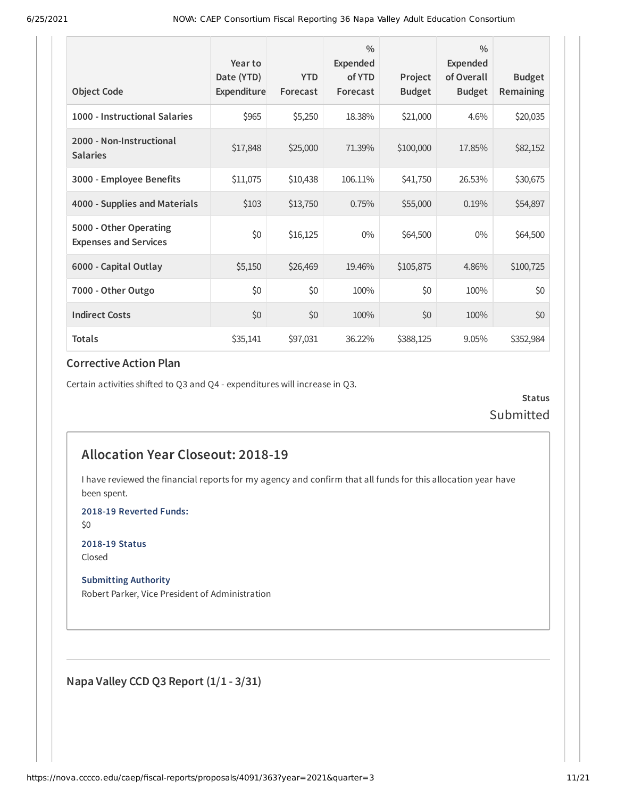| <b>Object Code</b>                                     | Year to<br>Date (YTD)<br>Expenditure | <b>YTD</b><br>Forecast | $\frac{0}{0}$<br>Expended<br>of YTD<br>Forecast | Project<br><b>Budget</b> | $\frac{0}{0}$<br><b>Expended</b><br>of Overall<br><b>Budget</b> | <b>Budget</b><br>Remaining |
|--------------------------------------------------------|--------------------------------------|------------------------|-------------------------------------------------|--------------------------|-----------------------------------------------------------------|----------------------------|
| 1000 - Instructional Salaries                          | \$965                                | \$5,250                | 18.38%                                          | \$21,000                 | 4.6%                                                            | \$20,035                   |
| 2000 - Non-Instructional<br><b>Salaries</b>            | \$17,848                             | \$25,000               | 71.39%                                          | \$100,000                | 17.85%                                                          | \$82,152                   |
| 3000 - Employee Benefits                               | \$11,075                             | \$10,438               | 106.11%                                         | \$41,750                 | 26.53%                                                          | \$30,675                   |
| 4000 - Supplies and Materials                          | \$103                                | \$13,750               | 0.75%                                           | \$55,000                 | 0.19%                                                           | \$54,897                   |
| 5000 - Other Operating<br><b>Expenses and Services</b> | \$0                                  | \$16,125               | $0\%$                                           | \$64,500                 | $0\%$                                                           | \$64,500                   |
| 6000 - Capital Outlay                                  | \$5,150                              | \$26,469               | 19.46%                                          | \$105,875                | 4.86%                                                           | \$100,725                  |
| 7000 - Other Outgo                                     | \$0                                  | \$0                    | 100%                                            | \$0                      | 100%                                                            | \$0                        |
| <b>Indirect Costs</b>                                  | \$0                                  | \$0                    | 100%                                            | \$0                      | 100%                                                            | \$0                        |
| <b>Totals</b>                                          | \$35,141                             | \$97,031               | 36.22%                                          | \$388,125                | 9.05%                                                           | \$352,984                  |

Certain activities shifted to Q3 and Q4 - expenditures will increase in Q3.

**Status** Submitted

## **Allocation Year Closeout: 2018-19**

I have reviewed the financial reports for my agency and confirm that all funds for this allocation year have been spent.

**2018-19 Reverted Funds:**

\$0

**2018-19 Status** Closed

**Submitting Authority**

Robert Parker, Vice President of Administration

**Napa Valley CCD Q3 Report (1/1 - 3/31)**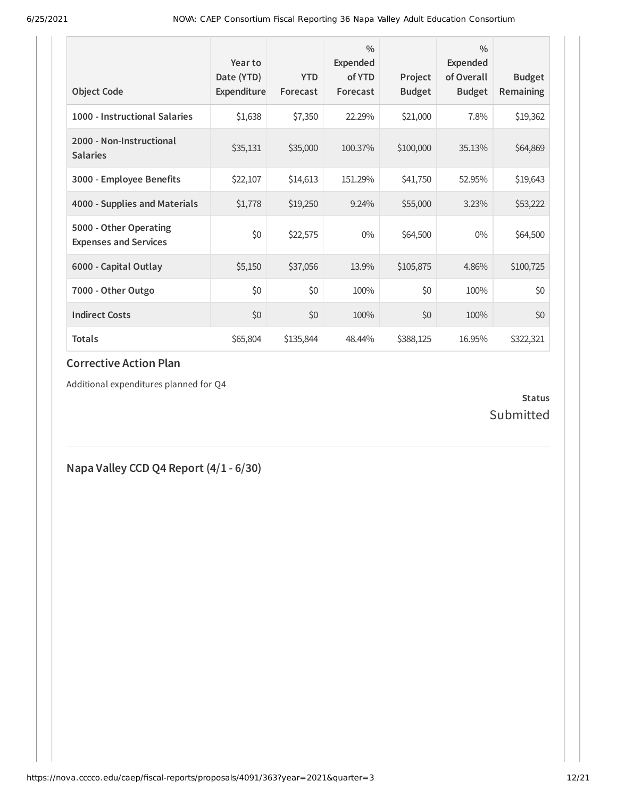| <b>Object Code</b>                                     | Year to<br>Date (YTD)<br>Expenditure | <b>YTD</b><br>Forecast | $\frac{0}{0}$<br>Expended<br>of YTD<br>Forecast | Project<br><b>Budget</b> | $\frac{0}{0}$<br>Expended<br>of Overall<br><b>Budget</b> | <b>Budget</b><br>Remaining |
|--------------------------------------------------------|--------------------------------------|------------------------|-------------------------------------------------|--------------------------|----------------------------------------------------------|----------------------------|
| 1000 - Instructional Salaries                          | \$1,638                              | \$7,350                | 22.29%                                          | \$21,000                 | 7.8%                                                     | \$19,362                   |
| 2000 - Non-Instructional<br><b>Salaries</b>            | \$35,131                             | \$35,000               | 100.37%                                         | \$100,000                | 35.13%                                                   | \$64,869                   |
| 3000 - Employee Benefits                               | \$22,107                             | \$14,613               | 151.29%                                         | \$41,750                 | 52.95%                                                   | \$19,643                   |
| 4000 - Supplies and Materials                          | \$1,778                              | \$19,250               | 9.24%                                           | \$55,000                 | 3.23%                                                    | \$53,222                   |
| 5000 - Other Operating<br><b>Expenses and Services</b> | \$0                                  | \$22,575               | $0\%$                                           | \$64,500                 | $0\%$                                                    | \$64,500                   |
| 6000 - Capital Outlay                                  | \$5,150                              | \$37,056               | 13.9%                                           | \$105,875                | 4.86%                                                    | \$100,725                  |
| 7000 - Other Outgo                                     | \$0                                  | \$0                    | 100%                                            | \$0                      | 100%                                                     | \$0                        |
| <b>Indirect Costs</b>                                  | \$0                                  | \$0                    | 100%                                            | \$0                      | 100%                                                     | \$0                        |
| <b>Totals</b>                                          | \$65,804                             | \$135,844              | 48.44%                                          | \$388,125                | 16.95%                                                   | \$322,321                  |

Additional expenditures planned for Q4

#### **Status** Submitted

**Napa Valley CCD Q4 Report (4/1 - 6/30)**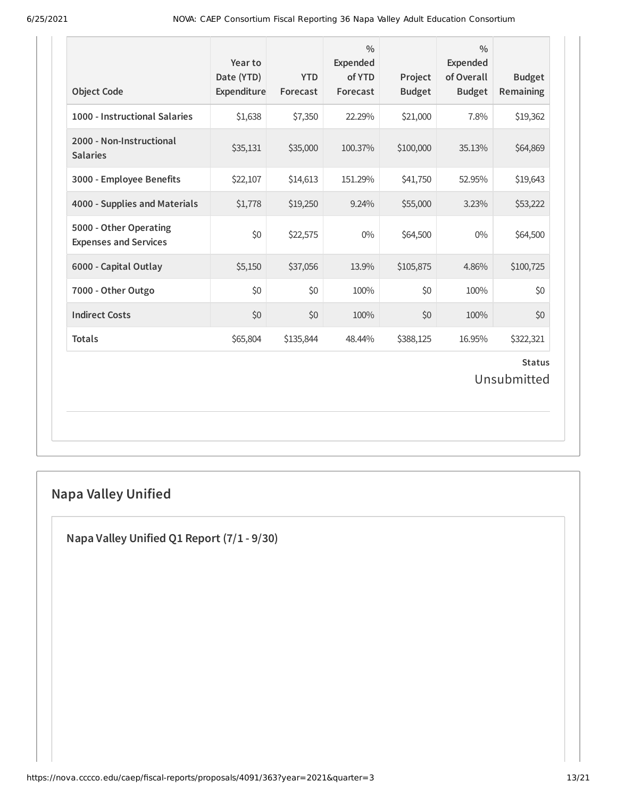| <b>Object Code</b>                                     | Year to<br>Date (YTD)<br>Expenditure | <b>YTD</b><br>Forecast | $\frac{0}{0}$<br><b>Expended</b><br>of YTD<br>Forecast | Project<br><b>Budget</b> | $\frac{0}{0}$<br><b>Expended</b><br>of Overall<br><b>Budget</b> | <b>Budget</b><br><b>Remaining</b> |  |
|--------------------------------------------------------|--------------------------------------|------------------------|--------------------------------------------------------|--------------------------|-----------------------------------------------------------------|-----------------------------------|--|
| 1000 - Instructional Salaries                          | \$1,638                              | \$7,350                | 22.29%                                                 | \$21,000                 | 7.8%                                                            | \$19,362                          |  |
| 2000 - Non-Instructional<br><b>Salaries</b>            | \$35,131                             | \$35,000               | 100.37%                                                | \$100,000                | 35.13%                                                          | \$64,869                          |  |
| 3000 - Employee Benefits                               | \$22,107                             | \$14,613               | 151.29%                                                | \$41,750                 | 52.95%                                                          | \$19,643                          |  |
| 4000 - Supplies and Materials                          | \$1,778                              | \$19,250               | 9.24%                                                  | \$55,000                 | 3.23%                                                           | \$53,222                          |  |
| 5000 - Other Operating<br><b>Expenses and Services</b> | \$0                                  | \$22,575               | $0\%$                                                  | \$64,500                 | $0\%$                                                           | \$64,500                          |  |
| 6000 - Capital Outlay                                  | \$5,150                              | \$37,056               | 13.9%                                                  | \$105,875                | 4.86%                                                           | \$100,725                         |  |
| 7000 - Other Outgo                                     | \$0                                  | \$0                    | 100%                                                   | \$0                      | 100%                                                            | \$0                               |  |
| <b>Indirect Costs</b>                                  | \$0                                  | \$0                    | 100%                                                   | \$0                      | 100%                                                            | \$0                               |  |
| <b>Totals</b>                                          | \$65,804                             | \$135,844              | 48.44%                                                 | \$388,125                | 16.95%                                                          | \$322,321                         |  |
| <b>Status</b><br>Unsubmitted                           |                                      |                        |                                                        |                          |                                                                 |                                   |  |

# **Napa Valley Unified**

**Napa Valley Unified Q1 Report (7/1 - 9/30)**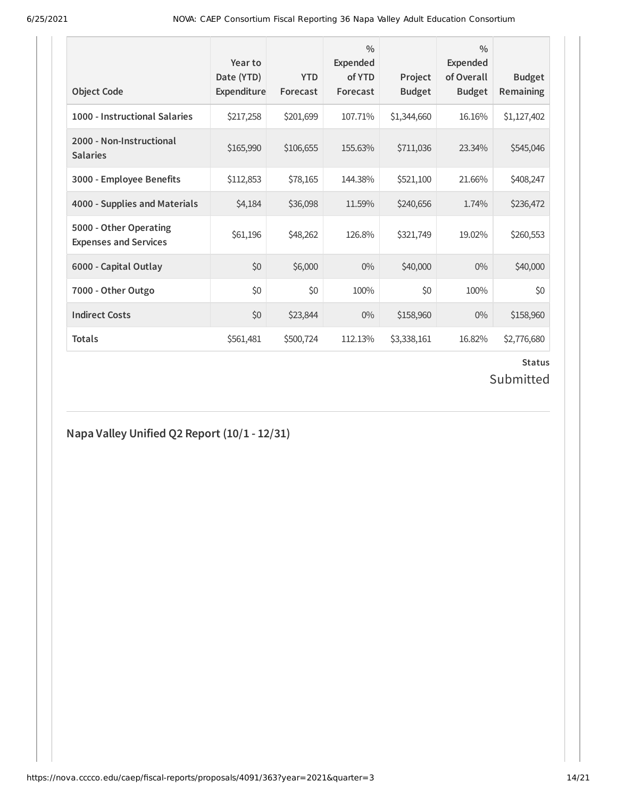| <b>Object Code</b>                                     | Year to<br>Date (YTD)<br><b>Expenditure</b> | <b>YTD</b><br>Forecast | $\frac{0}{0}$<br><b>Expended</b><br>of YTD<br>Forecast | Project<br><b>Budget</b> | $\frac{0}{0}$<br><b>Expended</b><br>of Overall<br><b>Budget</b> | <b>Budget</b><br><b>Remaining</b> |
|--------------------------------------------------------|---------------------------------------------|------------------------|--------------------------------------------------------|--------------------------|-----------------------------------------------------------------|-----------------------------------|
| 1000 - Instructional Salaries                          | \$217,258                                   | \$201,699              | 107.71%                                                | \$1,344,660              | 16.16%                                                          | \$1,127,402                       |
| 2000 - Non-Instructional<br><b>Salaries</b>            | \$165,990                                   | \$106,655              | 155.63%                                                | \$711,036                | 23.34%                                                          | \$545,046                         |
| 3000 - Employee Benefits                               | \$112,853                                   | \$78,165               | 144.38%                                                | \$521,100                | 21.66%                                                          | \$408,247                         |
| 4000 - Supplies and Materials                          | \$4,184                                     | \$36,098               | 11.59%                                                 | \$240,656                | 1.74%                                                           | \$236,472                         |
| 5000 - Other Operating<br><b>Expenses and Services</b> | \$61,196                                    | \$48,262               | 126.8%                                                 | \$321,749                | 19.02%                                                          | \$260,553                         |
| 6000 - Capital Outlay                                  | \$0                                         | \$6,000                | $0\%$                                                  | \$40,000                 | $0\%$                                                           | \$40,000                          |
| 7000 - Other Outgo                                     | \$0                                         | \$0                    | 100%                                                   | \$0                      | 100%                                                            | \$0                               |
| <b>Indirect Costs</b>                                  | \$0                                         | \$23,844               | $0\%$                                                  | \$158,960                | $0\%$                                                           | \$158,960                         |
| <b>Totals</b>                                          | \$561,481                                   | \$500,724              | 112.13%                                                | \$3,338,161              | 16.82%                                                          | \$2,776,680                       |

# **Status**

# Submitted

## **Napa Valley Unified Q2 Report (10/1 - 12/31)**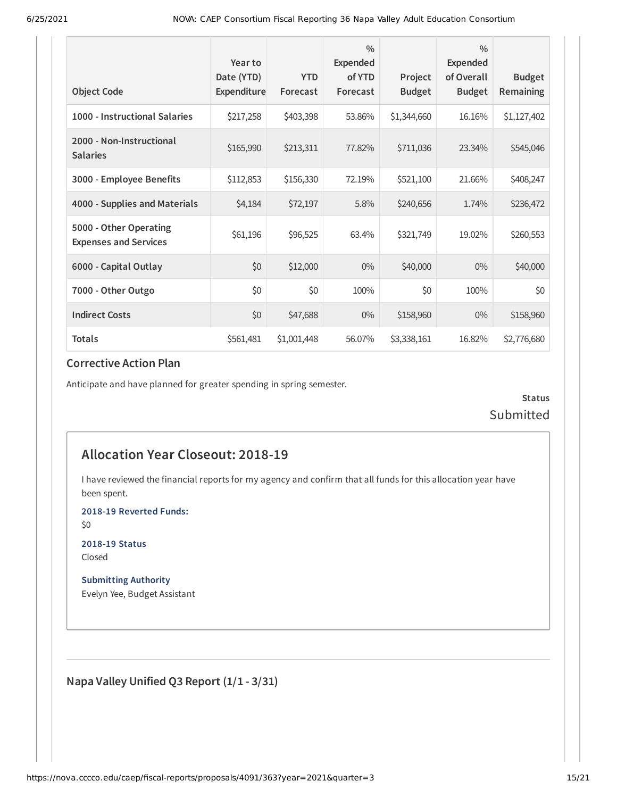| <b>Object Code</b>                                     | Year to<br>Date (YTD)<br><b>Expenditure</b> | <b>YTD</b><br>Forecast | $\frac{0}{0}$<br>Expended<br>of YTD<br>Forecast | Project<br><b>Budget</b> | $\frac{0}{0}$<br><b>Expended</b><br>of Overall<br><b>Budget</b> | <b>Budget</b><br><b>Remaining</b> |
|--------------------------------------------------------|---------------------------------------------|------------------------|-------------------------------------------------|--------------------------|-----------------------------------------------------------------|-----------------------------------|
| 1000 - Instructional Salaries                          | \$217,258                                   | \$403,398              | 53.86%                                          | \$1,344,660              | 16.16%                                                          | \$1,127,402                       |
| 2000 - Non-Instructional<br><b>Salaries</b>            | \$165,990                                   | \$213,311              | 77.82%                                          | \$711,036                | 23.34%                                                          | \$545,046                         |
| 3000 - Employee Benefits                               | \$112,853                                   | \$156,330              | 72.19%                                          | \$521,100                | 21.66%                                                          | \$408,247                         |
| 4000 - Supplies and Materials                          | \$4,184                                     | \$72,197               | 5.8%                                            | \$240,656                | 1.74%                                                           | \$236,472                         |
| 5000 - Other Operating<br><b>Expenses and Services</b> | \$61,196                                    | \$96,525               | 63.4%                                           | \$321,749                | 19.02%                                                          | \$260,553                         |
| 6000 - Capital Outlay                                  | \$0                                         | \$12,000               | $0\%$                                           | \$40,000                 | $0\%$                                                           | \$40,000                          |
| 7000 - Other Outgo                                     | \$0                                         | \$0                    | 100%                                            | \$0                      | 100%                                                            | \$0                               |
| <b>Indirect Costs</b>                                  | \$0                                         | \$47,688               | $0\%$                                           | \$158,960                | $0\%$                                                           | \$158,960                         |
| <b>Totals</b>                                          | \$561,481                                   | \$1,001,448            | 56.07%                                          | \$3,338,161              | 16.82%                                                          | \$2,776,680                       |

Anticipate and have planned for greater spending in spring semester.

**Status** Submitted

## **Allocation Year Closeout: 2018-19**

I have reviewed the financial reports for my agency and confirm that all funds for this allocation year have been spent.

**2018-19 Reverted Funds:**

\$0

**2018-19 Status** Closed

**Submitting Authority** Evelyn Yee, Budget Assistant

**Napa Valley Unified Q3 Report (1/1 - 3/31)**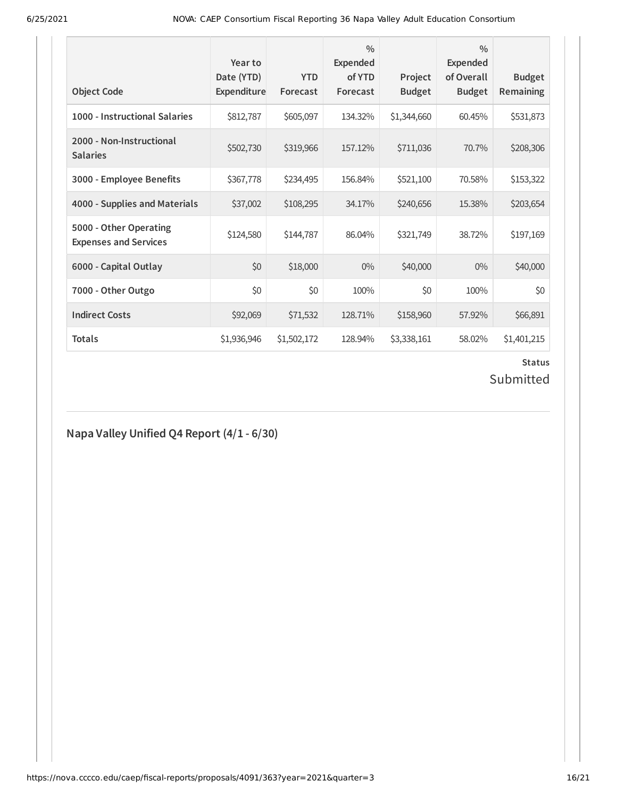| <b>Object Code</b>                                     | Year to<br>Date (YTD)<br><b>Expenditure</b> | <b>YTD</b><br>Forecast | $\frac{0}{0}$<br><b>Expended</b><br>of YTD<br>Forecast | Project<br><b>Budget</b> | $\frac{0}{0}$<br><b>Expended</b><br>of Overall<br><b>Budget</b> | <b>Budget</b><br>Remaining |
|--------------------------------------------------------|---------------------------------------------|------------------------|--------------------------------------------------------|--------------------------|-----------------------------------------------------------------|----------------------------|
| 1000 - Instructional Salaries                          | \$812,787                                   | \$605,097              | 134.32%                                                | \$1,344,660              | 60.45%                                                          | \$531,873                  |
| 2000 - Non-Instructional<br><b>Salaries</b>            | \$502,730                                   | \$319,966              | 157.12%                                                | \$711,036                | 70.7%                                                           | \$208,306                  |
| 3000 - Employee Benefits                               | \$367,778                                   | \$234,495              | 156.84%                                                | \$521,100                | 70.58%                                                          | \$153,322                  |
| 4000 - Supplies and Materials                          | \$37,002                                    | \$108,295              | 34.17%                                                 | \$240,656                | 15.38%                                                          | \$203,654                  |
| 5000 - Other Operating<br><b>Expenses and Services</b> | \$124,580                                   | \$144,787              | 86.04%                                                 | \$321,749                | 38.72%                                                          | \$197,169                  |
| 6000 - Capital Outlay                                  | \$0                                         | \$18,000               | $0\%$                                                  | \$40,000                 | $0\%$                                                           | \$40,000                   |
| 7000 - Other Outgo                                     | \$0                                         | \$0                    | 100%                                                   | \$0                      | 100%                                                            | \$0                        |
| <b>Indirect Costs</b>                                  | \$92,069                                    | \$71,532               | 128.71%                                                | \$158,960                | 57.92%                                                          | \$66,891                   |
| <b>Totals</b>                                          | \$1,936,946                                 | \$1,502,172            | 128.94%                                                | \$3,338,161              | 58.02%                                                          | \$1,401,215                |

# **Status**

# Submitted

# **Napa Valley Unified Q4 Report (4/1 - 6/30)**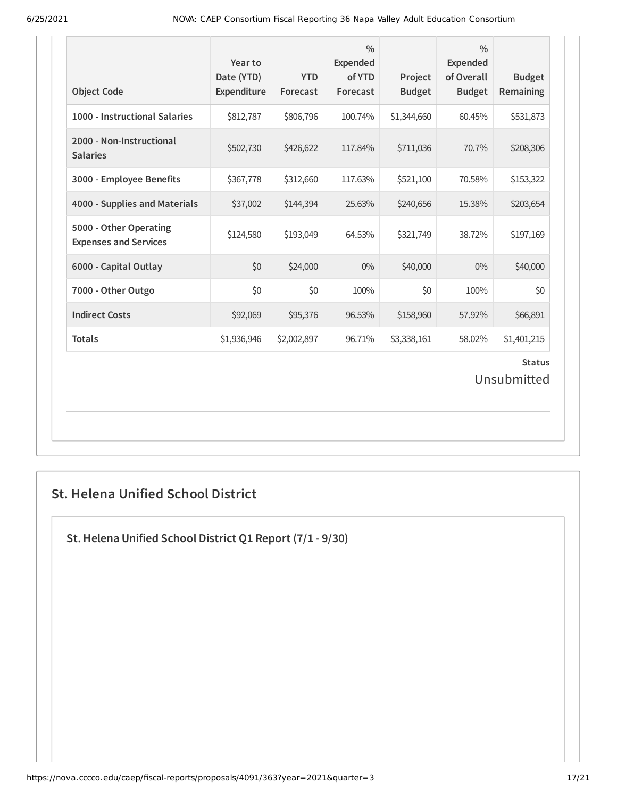| <b>Object Code</b>                                     | Year to<br>Date (YTD)<br>Expenditure | <b>YTD</b><br>Forecast | $\frac{0}{0}$<br>Expended<br>of YTD<br>Forecast | Project<br><b>Budget</b> | $\frac{0}{0}$<br><b>Expended</b><br>of Overall<br><b>Budget</b> | <b>Budget</b><br>Remaining |  |  |
|--------------------------------------------------------|--------------------------------------|------------------------|-------------------------------------------------|--------------------------|-----------------------------------------------------------------|----------------------------|--|--|
| 1000 - Instructional Salaries                          | \$812,787                            | \$806,796              | 100.74%                                         | \$1,344,660              | 60.45%                                                          | \$531,873                  |  |  |
| 2000 - Non-Instructional<br><b>Salaries</b>            | \$502,730                            | \$426,622              | 117.84%                                         | \$711,036                | 70.7%                                                           | \$208,306                  |  |  |
| 3000 - Employee Benefits                               | \$367,778                            | \$312,660              | 117.63%                                         | \$521,100                | 70.58%                                                          | \$153,322                  |  |  |
| 4000 - Supplies and Materials                          | \$37,002                             | \$144,394              | 25.63%                                          | \$240,656                | 15.38%                                                          | \$203,654                  |  |  |
| 5000 - Other Operating<br><b>Expenses and Services</b> | \$124,580                            | \$193,049              | 64.53%                                          | \$321,749                | 38.72%                                                          | \$197,169                  |  |  |
| 6000 - Capital Outlay                                  | \$0                                  | \$24,000               | $0\%$                                           | \$40,000                 | $0\%$                                                           | \$40,000                   |  |  |
| 7000 - Other Outgo                                     | \$0                                  | \$0                    | 100%                                            | \$0                      | 100%                                                            | \$0                        |  |  |
| <b>Indirect Costs</b>                                  | \$92,069                             | \$95,376               | 96.53%                                          | \$158,960                | 57.92%                                                          | \$66,891                   |  |  |
| <b>Totals</b>                                          | \$1,936,946                          | \$2,002,897            | 96.71%                                          | \$3,338,161              | 58.02%                                                          | \$1,401,215                |  |  |
| <b>Status</b><br>Unsubmitted                           |                                      |                        |                                                 |                          |                                                                 |                            |  |  |

## **St. Helena Unified School District**

**St.Helena Unified School District Q1 Report (7/1 - 9/30)**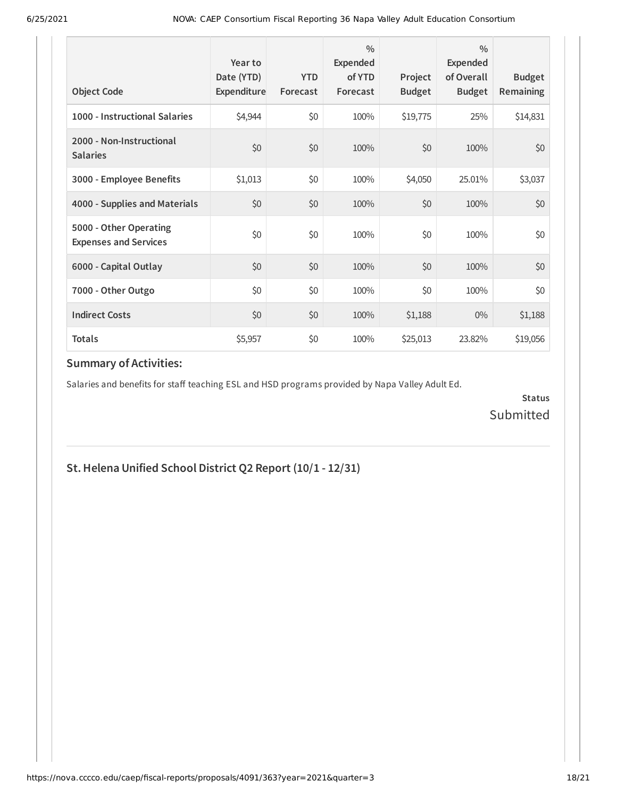| <b>Object Code</b>                                     | Year to<br>Date (YTD)<br>Expenditure | <b>YTD</b><br>Forecast | $\frac{0}{0}$<br>Expended<br>of YTD<br>Forecast | Project<br><b>Budget</b> | $\frac{0}{0}$<br>Expended<br>of Overall<br><b>Budget</b> | <b>Budget</b><br><b>Remaining</b> |
|--------------------------------------------------------|--------------------------------------|------------------------|-------------------------------------------------|--------------------------|----------------------------------------------------------|-----------------------------------|
| 1000 - Instructional Salaries                          | \$4,944                              | \$0                    | 100%                                            | \$19,775                 | 25%                                                      | \$14,831                          |
| 2000 - Non-Instructional<br><b>Salaries</b>            | \$0                                  | \$0                    | 100%                                            | \$0                      | 100%                                                     | \$0                               |
| 3000 - Employee Benefits                               | \$1,013                              | \$0                    | 100%                                            | \$4,050                  | 25.01%                                                   | \$3,037                           |
| 4000 - Supplies and Materials                          | \$0                                  | \$0                    | 100%                                            | \$0                      | 100%                                                     | \$0                               |
| 5000 - Other Operating<br><b>Expenses and Services</b> | \$0                                  | \$0                    | 100%                                            | \$0                      | 100%                                                     | \$0                               |
| 6000 - Capital Outlay                                  | \$0                                  | \$0                    | 100%                                            | \$0                      | 100%                                                     | \$0                               |
| 7000 - Other Outgo                                     | \$0                                  | \$0                    | 100%                                            | \$0                      | 100%                                                     | \$0                               |
| <b>Indirect Costs</b>                                  | \$0                                  | \$0                    | 100%                                            | \$1,188                  | $0\%$                                                    | \$1,188                           |
| <b>Totals</b>                                          | \$5,957                              | \$0                    | 100%                                            | \$25,013                 | 23.82%                                                   | \$19,056                          |

Salaries and benefits for staff teaching ESL and HSD programs provided by Napa Valley Adult Ed.

**Status** Submitted

## **St.Helena Unified School District Q2 Report (10/1 - 12/31)**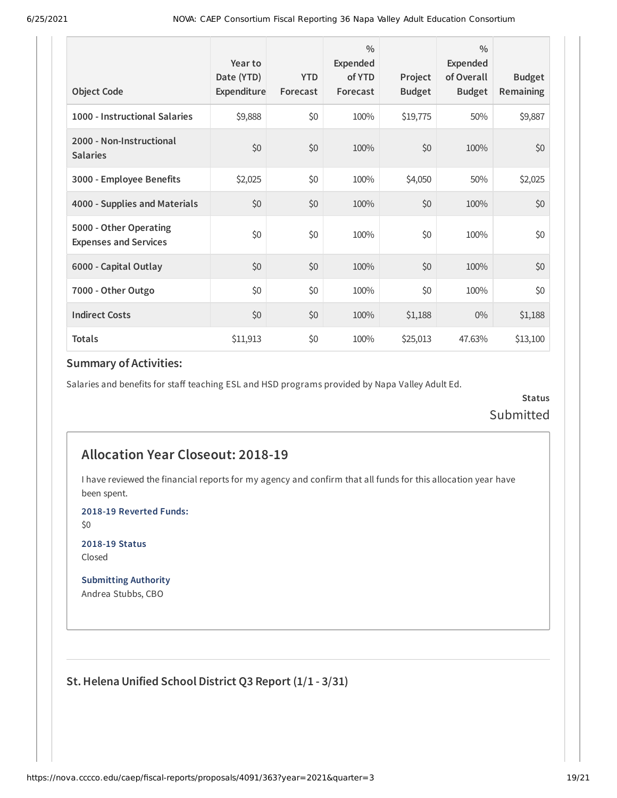| <b>Object Code</b>                                     | Year to<br>Date (YTD)<br>Expenditure | <b>YTD</b><br>Forecast | $\frac{0}{0}$<br>Expended<br>of YTD<br>Forecast | Project<br><b>Budget</b> | $\frac{0}{0}$<br>Expended<br>of Overall<br><b>Budget</b> | <b>Budget</b><br><b>Remaining</b> |
|--------------------------------------------------------|--------------------------------------|------------------------|-------------------------------------------------|--------------------------|----------------------------------------------------------|-----------------------------------|
| 1000 - Instructional Salaries                          | \$9,888                              | \$0                    | 100%                                            | \$19,775                 | 50%                                                      | \$9,887                           |
| 2000 - Non-Instructional<br><b>Salaries</b>            | \$0                                  | \$0                    | 100%                                            | \$0                      | 100%                                                     | \$0                               |
| 3000 - Employee Benefits                               | \$2,025                              | \$0                    | 100%                                            | \$4,050                  | 50%                                                      | \$2,025                           |
| 4000 - Supplies and Materials                          | \$0                                  | \$0                    | 100%                                            | \$0                      | 100%                                                     | \$0                               |
| 5000 - Other Operating<br><b>Expenses and Services</b> | \$0                                  | \$0                    | 100%                                            | \$0                      | 100%                                                     | \$0                               |
| 6000 - Capital Outlay                                  | \$0                                  | \$0                    | 100%                                            | \$0                      | 100%                                                     | \$0                               |
| 7000 - Other Outgo                                     | \$0                                  | \$0                    | 100%                                            | \$0                      | 100%                                                     | \$0                               |
| <b>Indirect Costs</b>                                  | \$0                                  | \$0                    | 100%                                            | \$1,188                  | $0\%$                                                    | \$1,188                           |
| <b>Totals</b>                                          | \$11,913                             | \$0                    | 100%                                            | \$25,013                 | 47.63%                                                   | \$13,100                          |

Salaries and benefits for staff teaching ESL and HSD programs provided by Napa Valley Adult Ed.

**Status** Submitted

## **Allocation Year Closeout: 2018-19**

I have reviewed the financial reports for my agency and confirm that all funds for this allocation year have been spent.

**2018-19 Reverted Funds:**

\$0

**2018-19 Status** Closed

**Submitting Authority** Andrea Stubbs, CBO

**St.Helena Unified School District Q3 Report (1/1 - 3/31)**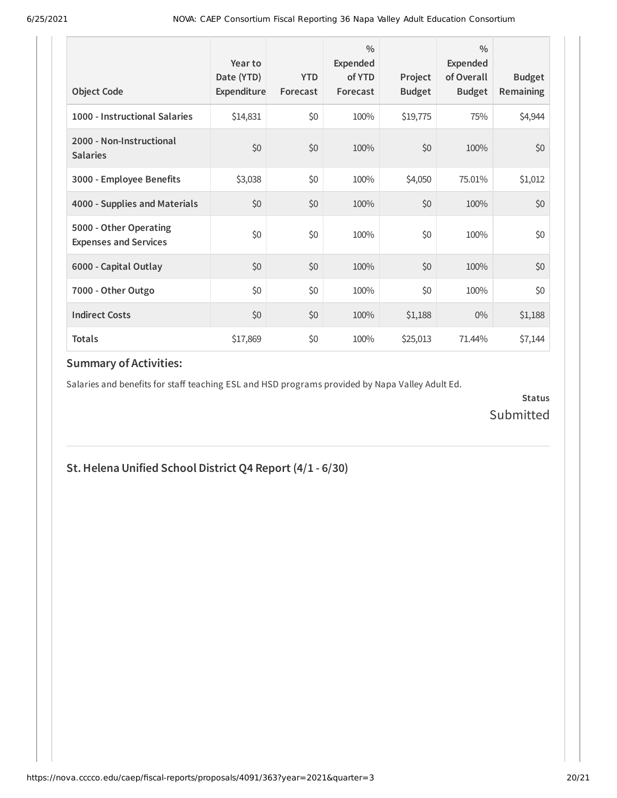| <b>Object Code</b>                                     | Year to<br>Date (YTD)<br>Expenditure | <b>YTD</b><br>Forecast | $\frac{0}{0}$<br>Expended<br>of YTD<br>Forecast | Project<br><b>Budget</b> | $\frac{0}{0}$<br>Expended<br>of Overall<br><b>Budget</b> | <b>Budget</b><br><b>Remaining</b> |
|--------------------------------------------------------|--------------------------------------|------------------------|-------------------------------------------------|--------------------------|----------------------------------------------------------|-----------------------------------|
| 1000 - Instructional Salaries                          | \$14,831                             | \$0                    | 100%                                            | \$19,775                 | 75%                                                      | \$4,944                           |
| 2000 - Non-Instructional<br><b>Salaries</b>            | \$0                                  | \$0                    | 100%                                            | \$0                      | 100%                                                     | \$0                               |
| 3000 - Employee Benefits                               | \$3,038                              | \$0                    | 100%                                            | \$4,050                  | 75.01%                                                   | \$1,012                           |
| 4000 - Supplies and Materials                          | \$0                                  | \$0                    | 100%                                            | \$0                      | 100%                                                     | \$0                               |
| 5000 - Other Operating<br><b>Expenses and Services</b> | \$0                                  | \$0                    | 100%                                            | \$0                      | 100%                                                     | \$0                               |
| 6000 - Capital Outlay                                  | \$0                                  | \$0                    | 100%                                            | \$0                      | 100%                                                     | \$0                               |
| 7000 - Other Outgo                                     | \$0                                  | \$0                    | 100%                                            | \$0                      | 100%                                                     | \$0                               |
| <b>Indirect Costs</b>                                  | \$0                                  | \$0                    | 100%                                            | \$1,188                  | $0\%$                                                    | \$1,188                           |
| <b>Totals</b>                                          | \$17,869                             | \$0                    | 100%                                            | \$25,013                 | 71.44%                                                   | \$7,144                           |

Salaries and benefits for staff teaching ESL and HSD programs provided by Napa Valley Adult Ed.

**Status** Submitted

## **St.Helena Unified School District Q4 Report (4/1 - 6/30)**